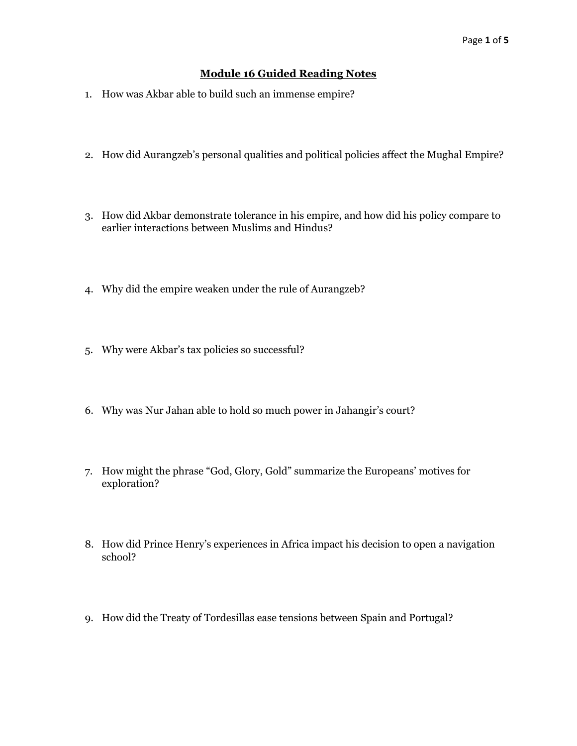## **Module 16 Guided Reading Notes**

- 1. How was Akbar able to build such an immense empire?
- 2. How did Aurangzeb's personal qualities and political policies affect the Mughal Empire?
- 3. How did Akbar demonstrate tolerance in his empire, and how did his policy compare to earlier interactions between Muslims and Hindus?
- 4. Why did the empire weaken under the rule of Aurangzeb?
- 5. Why were Akbar's tax policies so successful?
- 6. Why was Nur Jahan able to hold so much power in Jahangir's court?
- 7. How might the phrase "God, Glory, Gold" summarize the Europeans' motives for exploration?
- 8. How did Prince Henry's experiences in Africa impact his decision to open a navigation school?
- 9. How did the Treaty of Tordesillas ease tensions between Spain and Portugal?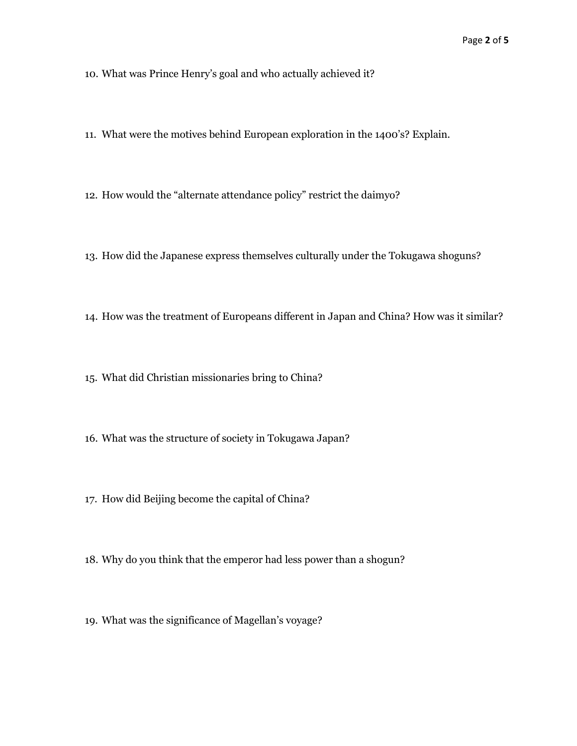10. What was Prince Henry's goal and who actually achieved it?

- 11. What were the motives behind European exploration in the 1400's? Explain.
- 12. How would the "alternate attendance policy" restrict the daimyo?
- 13. How did the Japanese express themselves culturally under the Tokugawa shoguns?
- 14. How was the treatment of Europeans different in Japan and China? How was it similar?
- 15. What did Christian missionaries bring to China?
- 16. What was the structure of society in Tokugawa Japan?
- 17. How did Beijing become the capital of China?
- 18. Why do you think that the emperor had less power than a shogun?
- 19. What was the significance of Magellan's voyage?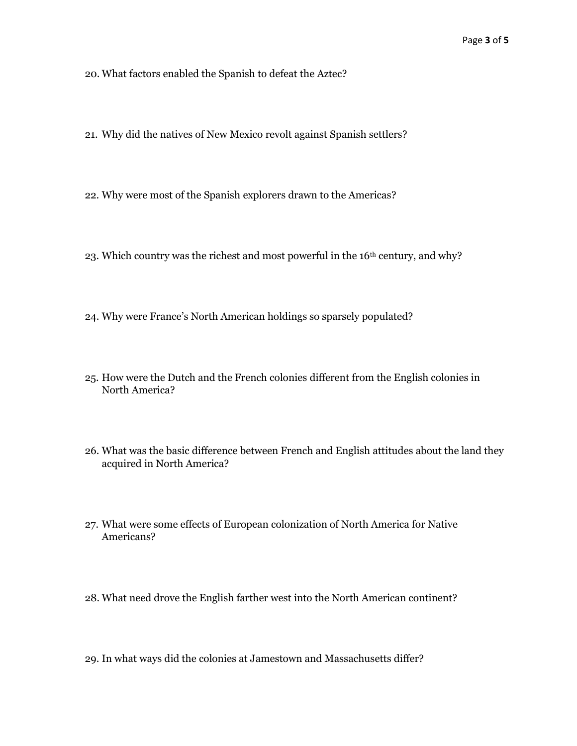20. What factors enabled the Spanish to defeat the Aztec?

- 21. Why did the natives of New Mexico revolt against Spanish settlers?
- 22. Why were most of the Spanish explorers drawn to the Americas?
- 23. Which country was the richest and most powerful in the 16<sup>th</sup> century, and why?
- 24. Why were France's North American holdings so sparsely populated?
- 25. How were the Dutch and the French colonies different from the English colonies in North America?
- 26. What was the basic difference between French and English attitudes about the land they acquired in North America?
- 27. What were some effects of European colonization of North America for Native Americans?
- 28. What need drove the English farther west into the North American continent?
- 29. In what ways did the colonies at Jamestown and Massachusetts differ?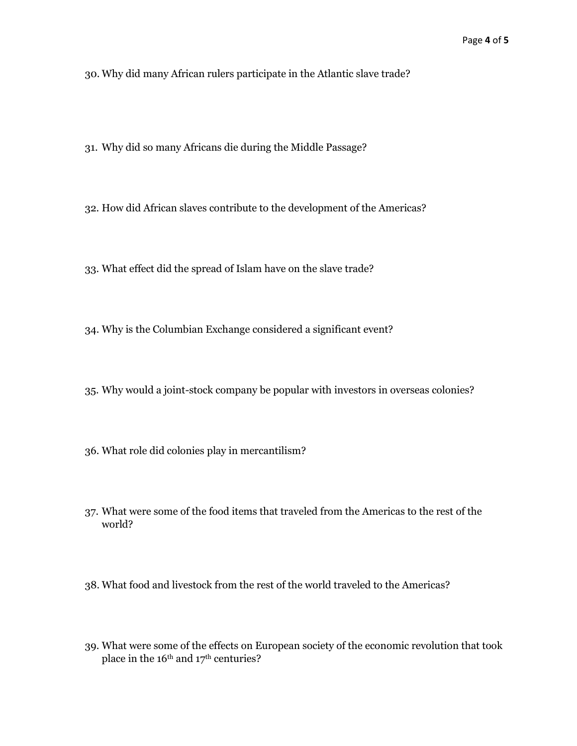30. Why did many African rulers participate in the Atlantic slave trade?

- 31. Why did so many Africans die during the Middle Passage?
- 32. How did African slaves contribute to the development of the Americas?
- 33. What effect did the spread of Islam have on the slave trade?
- 34. Why is the Columbian Exchange considered a significant event?
- 35. Why would a joint-stock company be popular with investors in overseas colonies?
- 36. What role did colonies play in mercantilism?
- 37. What were some of the food items that traveled from the Americas to the rest of the world?
- 38. What food and livestock from the rest of the world traveled to the Americas?
- 39. What were some of the effects on European society of the economic revolution that took place in the 16<sup>th</sup> and 17<sup>th</sup> centuries?